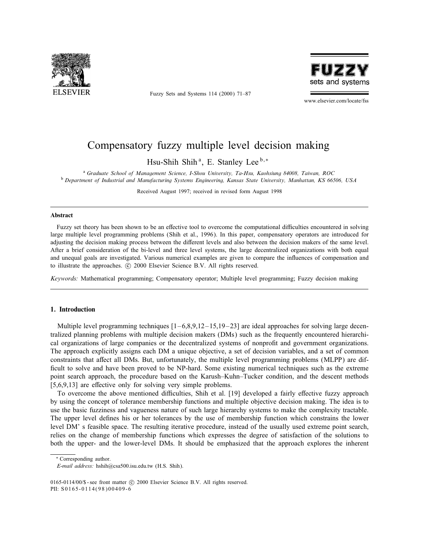

Fuzzy Sets and Systems 114 (2000) 71–87



www.elsevier.com/locate/fss

# Compensatory fuzzy multiple level decision making

Hsu-Shih Shih<sup>a</sup>, E. Stanley Lee<sup>b,\*</sup>

<sup>a</sup> Graduate School of Management Science, I-Shou University, Ta-Hsu, Kaohsiung 84008, Taiwan, ROC

<sup>b</sup> Department of Industrial and Manufacturing Systems Engineering, Kansas State University, Manhattan, KS 66506, USA

Received August 1997; received in revised form August 1998

#### Abstract

Fuzzy set theory has been shown to be an effective tool to overcome the computational difficulties encountered in solving large multiple level programming problems (Shih et al., 1996). In this paper, compensatory operators are introduced for adjusting the decision making process between the different levels and also between the decision makers of the same level. After a brief consideration of the bi-level and three level systems, the large decentralized organizations with both equal and unequal goals are investigated. Various numerical examples are given to compare the influences of compensation and to illustrate the approaches. © 2000 Elsevier Science B.V. All rights reserved.

Keywords: Mathematical programming; Compensatory operator; Multiple level programming; Fuzzy decision making

# 1. Introduction

Multiple level programming techniques  $[1-6.8.9, 12-15.19-23]$  are ideal approaches for solving large decentralized planning problems with multiple decision makers (DMs) such as the frequently encountered hierarchical organizations of large companies or the decentralized systems of nonprofit and government organizations. The approach explicitly assigns each DM a unique objective, a set of decision variables, and a set of common constraints that affect all DMs. But, unfortunately, the multiple level programming problems (MLPP) are difficult to solve and have been proved to be NP-hard. Some existing numerical techniques such as the extreme point search approach, the procedure based on the Karush–Kuhn–Tucker condition, and the descent methods  $[5,6,9,13]$  are effective only for solving very simple problems.

To overcome the above mentioned difficulties, Shih et al. [19] developed a fairly effective fuzzy approach by using the concept of tolerance membership functions and multiple objective decision making. The idea is to use the basic fuzziness and vagueness nature of such large hierarchy systems to make the complexity tractable. The upper level defines his or her tolerances by the use of membership function which constrains the lower level DM' s feasible space. The resulting iterative procedure, instead of the usually used extreme point search, relies on the change of membership functions which expresses the degree of satisfaction of the solutions to both the upper- and the lower-level DMs. It should be emphasized that the approach explores the inherent

∗ Corresponding author.

E-mail address: hshih@csa500.isu.edu.tw (H.S. Shih).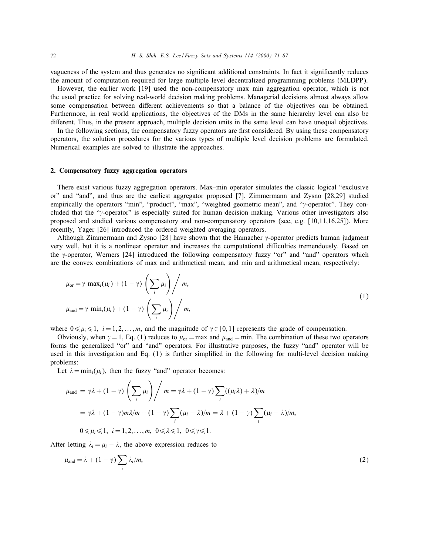vagueness of the system and thus generates no significant additional constraints. In fact it significantly reduces the amount of computation required for large multiple level decentralized programming problems (MLDPP).

However, the earlier work [19] used the non-compensatory max–min aggregation operator, which is not the usual practice for solving real-world decision making problems. Managerial decisions almost always allow some compensation between different achievements so that a balance of the objectives can be obtained. Furthermore, in real world applications, the objectives of the DMs in the same hierarchy level can also be different. Thus, in the present approach, multiple decision units in the same level can have unequal objectives.

In the following sections, the compensatory fuzzy operators are first considered. By using these compensatory operators, the solution procedures for the various types of multiple level decision problems are formulated. Numerical examples are solved to illustrate the approaches.

# 2. Compensatory fuzzy aggregation operators

There exist various fuzzy aggregation operators. Max–min operator simulates the classic logical "exclusive or" and "and", and thus are the earliest aggregator proposed [7]. Zimmermann and Zysno [28,29] studied empirically the operators "min", "product", "max", "weighted geometric mean", and "y-operator". They concluded that the "y-operator" is especially suited for human decision making. Various other investigators also proposed and studied various compensatory and non-compensatory operators (see, e.g. [10,11,16,25]). More recently, Yager [26] introduced the ordered weighted averaging operators.

Although Zimmermann and Zysno [28] have shown that the Hamacher  $\gamma$ -operator predicts human judgment very well, but it is a nonlinear operator and increases the computational difficulties tremendously. Based on the  $\gamma$ -operator, Werners [24] introduced the following compensatory fuzzy "or" and "and" operators which are the convex combinations of max and arithmetical mean, and min and arithmetical mean, respectively:

$$
\mu_{\text{or}} = \gamma \, \max_{i} (\mu_i) + (1 - \gamma) \left( \sum_{i} \mu_i \right) / m,
$$
\n
$$
\mu_{\text{and}} = \gamma \, \min_{i} (\mu_i) + (1 - \gamma) \left( \sum_{i} \mu_i \right) / m,
$$
\n(1)

where  $0 \le \mu_i \le 1$ ,  $i = 1, 2, \dots, m$ , and the magnitude of  $\gamma \in [0, 1]$  represents the grade of compensation.

Obviously, when  $\gamma = 1$ , Eq. (1) reduces to  $\mu_{\text{or}} = \max$  and  $\mu_{\text{and}} = \min$ . The combination of these two operators forms the generalized "or" and "and" operators. For illustrative purposes, the fuzzy "and" operator will be used in this investigation and Eq. (1) is further simplied in the following for multi-level decision making problems:

Let  $\lambda = \min_i(\mu_i)$ , then the fuzzy "and" operator becomes:

$$
\mu_{\text{and}} = \gamma \lambda + (1 - \gamma) \left( \sum_{i} \mu_{i} \right) / m = \gamma \lambda + (1 - \gamma) \sum_{i} ((\mu_{i} \lambda) + \lambda) / m
$$
  
=  $\gamma \lambda + (1 - \gamma) m \lambda / m + (1 - \gamma) \sum_{i} (\mu_{i} - \lambda) / m = \lambda + (1 - \gamma) \sum_{i} (\mu_{i} - \lambda) / m,$   
 $0 \le \mu_{i} \le 1, \quad i = 1, 2, ..., m, \quad 0 \le \lambda \le 1, \quad 0 \le \gamma \le 1.$ 

After letting  $\lambda_i = \mu_i - \lambda$ , the above expression reduces to

$$
\mu_{\text{and}} = \lambda + (1 - \gamma) \sum_{i} \lambda_i / m, \tag{2}
$$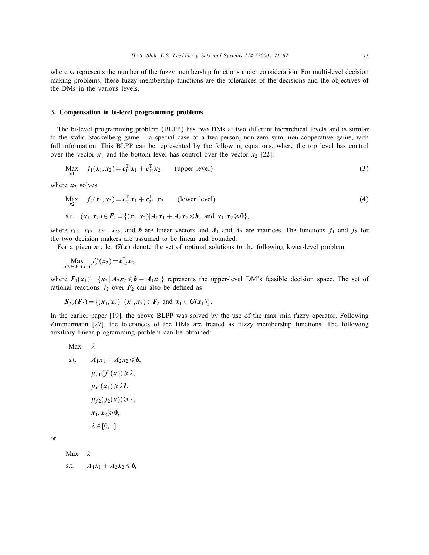where *m* represents the number of the fuzzy membership functions under consideration. For multi-level decision making problems, these fuzzy membership functions are the tolerances of the decisions and the objectives of the DMs in the various levels.

## 3. Compensation in bi-level programming problems

The bi-level programming problem (BLPP) has two DMs at two different hierarchical levels and is similar to the static Stackelberg game – a special case of a two-person, non-zero sum, non-cooperative game, with full information. This BLPP can be represented by the following equations, where the top level has control over the vector  $x_1$  and the bottom level has control over the vector  $x_2$  [22]:

$$
\text{Max}_{x1} \quad f_1(x_1, x_2) = c_{11}^T x_1 + c_{12}^T x_2 \qquad \text{(upper level)} \tag{3}
$$

where  $x_2$  solves

$$
\begin{aligned}\n\text{Max}_{x2} \quad f_2(\mathbf{x}_1, \mathbf{x}_2) &= c_{21}^T \mathbf{x}_1 + c_{22}^T \mathbf{x}_2 \quad \text{(lower level)}\\
\text{s.t.} \quad (\mathbf{x}_1, \mathbf{x}_2) &\in F_2 = \{(\mathbf{x}_1, \mathbf{x}_2) | A_1 \mathbf{x}_1 + A_2 \mathbf{x}_2 \leq \mathbf{b}, \text{ and } \mathbf{x}_1, \mathbf{x}_2 \geq \mathbf{0}\},\n\end{aligned}\n\tag{4}
$$

where  $c_{11}$ ,  $c_{12}$ ,  $c_{21}$ ,  $c_{22}$ , and b are linear vectors and  $A_1$  and  $A_2$  are matrices. The functions  $f_1$  and  $f_2$  for the two decision makers are assumed to be linear and bounded.

For a given  $x_1$ , let  $G(x)$  denote the set of optimal solutions to the following lower-level problem:

$$
\max_{x2 \in F1(x1)} f_2^*(x_2) = c_{22}^T x_2,
$$

where  $F_1(x_1) = \{x_2 \mid A_2x_2 \leq b - A_1x_1\}$  represents the upper-level DM's feasible decision space. The set of rational reactions  $f_2$  over  $F_2$  can also be defined as

$$
S_{f2}(F_2) = \{(x_1,x_2) | (x_1,x_2) \in F_2 \text{ and } x_1 \in G(x_1)\}.
$$

In the earlier paper [19], the above BLPP was solved by the use of the max–min fuzzy operator. Following Zimmermann [27], the tolerances of the DMs are treated as fuzzy membership functions. The following auxiliary linear programming problem can be obtained:

Max 
$$
\lambda
$$
  
\ns.t.  $A_1x_1 + A_2x_2 \leq b$ ,  
\n $\mu_{f1}(f_1(x)) \geq \lambda$ ,  
\n $\mu_{x1}(x_1) \geq \lambda I$ ,  
\n $\mu_{f2}(f_2(x)) \geq \lambda$ ,  
\n $x_1, x_2 \geq 0$ ,  
\n $\lambda \in [0, 1]$ 

or

Max  $\lambda$ 

s.t.  $A_1x_1 + A_2x_2 \leq b$ ,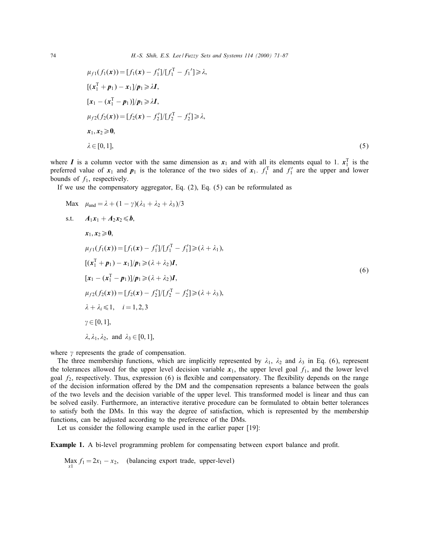$$
\mu_{f1}(f_1(\mathbf{x})) = [f_1(\mathbf{x}) - f'_1]/[f_1^{\mathrm{T}} - f_1'] \ge \lambda,
$$
  
\n
$$
[(\mathbf{x}_1^{\mathrm{T}} + \mathbf{p}_1) - \mathbf{x}_1]/\mathbf{p}_1 \ge \lambda \mathbf{I},
$$
  
\n
$$
[\mathbf{x}_1 - (\mathbf{x}_1^{\mathrm{T}} - \mathbf{p}_1)]/\mathbf{p}_1 \ge \lambda \mathbf{I},
$$
  
\n
$$
\mu_{f2}(f_2(\mathbf{x})) = [f_2(\mathbf{x}) - f'_2]/[f_2^{\mathrm{T}} - f'_2] \ge \lambda,
$$
  
\n
$$
\mathbf{x}_1, \mathbf{x}_2 \ge \mathbf{0},
$$
  
\n
$$
\lambda \in [0, 1],
$$
\n(5)

where I is a column vector with the same dimension as  $x_1$  and with all its elements equal to 1.  $x_1^T$  is the preferred value of  $x_1$  and  $p_1$  is the tolerance of the two sides of  $x_1$ .  $f_1^T$  and  $f_1'$  are the upper and lower bounds of  $f_1$ , respectively.

If we use the compensatory aggregator, Eq. (2), Eq. (5) can be reformulated as

Max 
$$
\mu_{and} = \lambda + (1 - \gamma)(\lambda_1 + \lambda_2 + \lambda_3)/3
$$
  
\ns.t.  $A_1x_1 + A_2x_2 \le b$ ,  
\n $x_1, x_2 \ge 0$ ,  
\n $\mu_{f1}(f_1(x)) = [f_1(x) - f'_1]/[f_1^T - f'_1] \ge (\lambda + \lambda_1),$   
\n $[(x_1^T + p_1) - x_1]/p_1 \ge (\lambda + \lambda_2)I$ ,  
\n $[x_1 - (x_1^T - p_1)]/p_1 \ge (\lambda + \lambda_2)I$ ,  
\n $\mu_{f2}(f_2(x)) = [f_2(x) - f'_2]/[f_2^T - f'_2] \ge (\lambda + \lambda_3),$   
\n $\lambda + \lambda_i \le 1$ ,  $i = 1, 2, 3$   
\n $\gamma \in [0, 1]$ ,  
\n $\lambda, \lambda_1, \lambda_2$ , and  $\lambda_3 \in [0, 1]$ ,

where  $\gamma$  represents the grade of compensation.

The three membership functions, which are implicitly represented by  $\lambda_1$ ,  $\lambda_2$  and  $\lambda_3$  in Eq. (6), represent the tolerances allowed for the upper level decision variable  $x_1$ , the upper level goal  $f_1$ , and the lower level goal  $f_2$ , respectively. Thus, expression (6) is flexible and compensatory. The flexibility depends on the range of the decision information offered by the DM and the compensation represents a balance between the goals of the two levels and the decision variable of the upper level. This transformed model is linear and thus can be solved easily. Furthermore, an interactive iterative procedure can be formulated to obtain better tolerances to satisfy both the DMs. In this way the degree of satisfaction, which is represented by the membership functions, can be adjusted according to the preference of the DMs.

Let us consider the following example used in the earlier paper [19]:

**Example 1.** A bi-level programming problem for compensating between export balance and profit.

Max  $f_1 = 2x_1 - x_2$ , (balancing export trade, upper-level)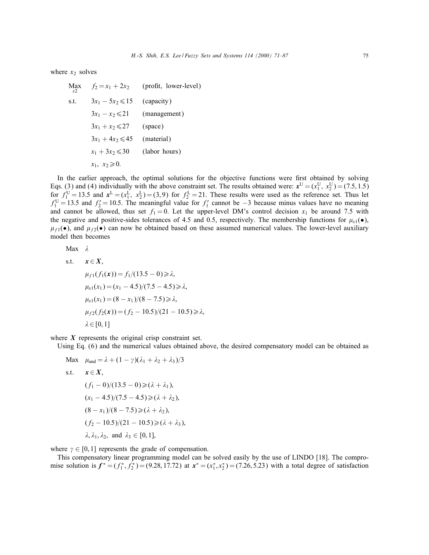where  $x_2$  solves

 $\operatorname*{Max}_{x2}$  $f_2 = x_1 + 2x_2$  (profit, lower-level) s.t.  $3x_1 - 5x_2 \le 15$  (capacity)  $3x_1 - x_2 \leq 21$  (management)  $3x_1 + x_2 \le 27$  (space)  $3x_1 + 4x_2 \leq 45$  (material)  $x_1 + 3x_2 \leq 30$  (labor hours)  $x_1, x_2 \geqslant 0.$ 

In the earlier approach, the optimal solutions for the objective functions were first obtained by solving Eqs. (3) and (4) individually with the above constraint set. The results obtained were:  $x^U = (x_1^U, x_2^U) = (7.5, 1.5)$ for  $f_1^U = 13.5$  and  $x^L = (x_1^L, x_2^L) = (3, 9)$  for  $f_2^L = 21$ . These results were used as the reference set. Thus let  $f_1^U = 13.5$  and  $f_2' = 10.5$ . The meaningful value for  $f_1'$  cannot be  $-3$  because minus values have no meaning and cannot be allowed, thus set  $f_1 = 0$ . Let the upper-level DM's control decision  $x_1$  be around 7.5 with the negative and positive-sides tolerances of 4.5 and 0.5, respectively. The membership functions for  $\mu_{x1}(\bullet)$ ,  $\mu_{f1}(\bullet)$ , and  $\mu_{f2}(\bullet)$  can now be obtained based on these assumed numerical values. The lower-level auxiliary model then becomes

Max  $\lambda$ 

s.t. 
$$
\mathbf{x} \in \mathbf{X}
$$
,  
\n
$$
\mu_{f1}(f_1(\mathbf{x})) = f_1/(13.5 - 0) \ge \lambda,
$$
\n
$$
\mu_{x1}(x_1) = (x_1 - 4.5)/(7.5 - 4.5) \ge \lambda,
$$
\n
$$
\mu_{x1}(x_1) = (8 - x_1)/(8 - 7.5) \ge \lambda,
$$
\n
$$
\mu_{f2}(f_2(\mathbf{x})) = (f_2 - 10.5)/(21 - 10.5) \ge \lambda,
$$
\n
$$
\lambda \in [0, 1]
$$

where  $X$  represents the original crisp constraint set.

Using Eq. (6) and the numerical values obtained above, the desired compensatory model can be obtained as

Max 
$$
\mu_{and} = \lambda + (1 - \gamma)(\lambda_1 + \lambda_2 + \lambda_3)/3
$$
  
\ns.t.  $\mathbf{x} \in \mathbf{X}$ ,  
\n $(f_1 - 0)/(13.5 - 0) \ge (\lambda + \lambda_1)$ ,  
\n $(x_1 - 4.5)/(7.5 - 4.5) \ge (\lambda + \lambda_2)$ ,  
\n $(8 - x_1)/(8 - 7.5) \ge (\lambda + \lambda_2)$ ,  
\n $(f_2 - 10.5)/(21 - 10.5) \ge (\lambda + \lambda_3)$ ,  
\n $\lambda$ ,  $\lambda_1$ ,  $\lambda_2$ , and  $\lambda_3 \in [0, 1]$ ,

where  $\gamma \in [0, 1]$  represents the grade of compensation.

This compensatory linear programming model can be solved easily by the use of LINDO [18]. The compromise solution is  $f^* = (f_1^*, f_2^*) = (9.28, 17.72)$  at  $x^* = (x_1^*, x_2^*) = (7.26, 5.23)$  with a total degree of satisfaction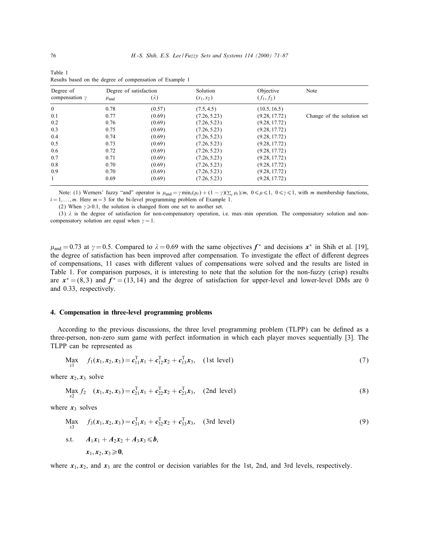| Degree of<br>compensation $\gamma$ | Degree of satisfaction |             | Solution     | Objective     | Note                       |
|------------------------------------|------------------------|-------------|--------------|---------------|----------------------------|
|                                    | $\mu$ <sub>and</sub>   | $(\lambda)$ | $(x_1, x_2)$ | $(f_1, f_2)$  |                            |
| $\Omega$                           | 0.78                   | (0.57)      | (7.5, 4.5)   | (10.5, 16.5)  |                            |
| 0.1                                | 0.77                   | (0.69)      | (7.26, 5.23) | (9.28, 17.72) | Change of the solution set |
| 0.2                                | 0.76                   | (0.69)      | (7.26, 5.23) | (9.28, 17.72) |                            |
| 0.3                                | 0.75                   | (0.69)      | (7.26, 5.23) | (9.28, 17.72) |                            |
| 0.4                                | 0.74                   | (0.69)      | (7.26, 5.23) | (9.28, 17.72) |                            |
| 0.5                                | 0.73                   | (0.69)      | (7.26, 5.23) | (9.28, 17.72) |                            |
| 0.6                                | 0.72                   | (0.69)      | (7.26, 5.23) | (9.28, 17.72) |                            |
| 0.7                                | 0.71                   | (0.69)      | (7.26, 5.23) | (9.28, 17.72) |                            |
| 0.8                                | 0.70                   | (0.69)      | (7.26, 5.23) | (9.28, 17.72) |                            |
| 0.9                                | 0.70                   | (0.69)      | (7.26, 5.23) | (9.28, 17.72) |                            |
| 1                                  | 0.69                   | (0.69)      | (7.26, 5.23) | (9.28, 17.72) |                            |

Table 1 Results based on the degree of compensation of Example 1

Note: (1) Werners' fuzzy "and" operator is  $\mu_{and} = \gamma \min_i(\mu_i) + (1 - \gamma)(\sum_i \mu_i)/m$ ,  $0 \le \mu \le 1$ ,  $0 \le \gamma \le 1$ , with m membership functions,  $i = 1, \ldots, m$ . Here  $m = 3$  for the bi-level programming problem of Example 1.

(2) When  $\gamma \ge 0.1$ , the solution is changed from one set to another set.

(3)  $\lambda$  is the degree of satisfaction for non-compensatory operation, i.e. max–min operation. The compensatory solution and noncompensatory solution are equal when  $\gamma = 1$ .

 $\mu_{\text{and}} = 0.73$  at  $\gamma = 0.5$ . Compared to  $\lambda = 0.69$  with the same objectives  $f^*$  and decisions  $x^*$  in Shih et al. [19], the degree of satisfaction has been improved after compensation. To investigate the effect of different degrees of compensations, 11 cases with different values of compensations were solved and the results are listed in Table 1. For comparison purposes, it is interesting to note that the solution for the non-fuzzy (crisp) results are  $x^* = (8, 3)$  and  $f^* = (13, 14)$  and the degree of satisfaction for upper-level and lower-level DMs are 0 and 0.33, respectively.

## 4. Compensation in three-level programming problems

According to the previous discussions, the three level programming problem (TLPP) can be defined as a three-person, non-zero sum game with perfect information in which each player moves sequentially [3]. The TLPP can be represented as

$$
\text{Max}_{x1} \quad f_1(\mathbf{x}_1, \mathbf{x}_2, \mathbf{x}_3) = \mathbf{c}_{11}^{\mathrm{T}} \mathbf{x}_1 + \mathbf{c}_{12}^{\mathrm{T}} \mathbf{x}_2 + \mathbf{c}_{13}^{\mathrm{T}} \mathbf{x}_3, \quad \text{(1st level)} \tag{7}
$$

where  $x_2, x_3$  solve

$$
\operatorname{Max}_{x2} f_2 \quad (x_1, x_2, x_3) = c_{21}^T x_1 + c_{22}^T x_2 + c_{23}^T x_3, \quad \text{(2nd level)} \tag{8}
$$

where  $x_3$  solves

$$
\begin{aligned}\n\text{Max}_{x3} \quad f_3(x_1, x_2, x_3) &= c_{31}^T x_1 + c_{32}^T x_2 + c_{33}^T x_3, \quad \text{(3rd level)} \\
\text{s.t.} \quad A_1 x_1 + A_2 x_2 + A_3 x_3 &\leq b,\n\end{aligned} \tag{9}
$$

$$
x_1,x_2,x_3\geqslant0,
$$

where  $x_1, x_2$ , and  $x_3$  are the control or decision variables for the 1st, 2nd, and 3rd levels, respectively.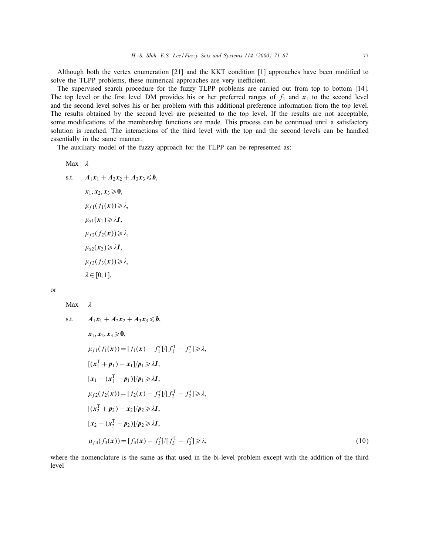Although both the vertex enumeration  $[21]$  and the KKT condition  $[1]$  approaches have been modified to solve the TLPP problems, these numerical approaches are very inefficient.

The supervised search procedure for the fuzzy TLPP problems are carried out from top to bottom [14]. The top level or the first level DM provides his or her preferred ranges of  $f_1$  and  $x_1$  to the second level and the second level solves his or her problem with this additional preference information from the top level. The results obtained by the second level are presented to the top level. If the results are not acceptable, some modifications of the membership functions are made. This process can be continued until a satisfactory solution is reached. The interactions of the third level with the top and the second levels can be handled essentially in the same manner.

The auxiliary model of the fuzzy approach for the TLPP can be represented as:

Max  $\lambda$ 

s.t.  $A_1x_1 + A_2x_2 + A_3x_3 \leq b$ .

$$
x_1, x_2, x_3 \geq 0,
$$
  
\n
$$
\mu_{f1}(f_1(x)) \geq \lambda,
$$
  
\n
$$
\mu_{x1}(x_1) \geq \lambda I,
$$
  
\n
$$
\mu_{f2}(f_2(x)) \geq \lambda,
$$
  
\n
$$
\mu_{x2}(x_2) \geq \lambda I,
$$
  
\n
$$
\mu_{f3}(f_3(x)) \geq \lambda,
$$
  
\n
$$
\lambda \in [0, 1].
$$

| I                | ı |
|------------------|---|
| I                |   |
| ×<br>I<br>×<br>٠ |   |

 $Max \quad \lambda$ 

s.t. 
$$
A_1x_1 + A_2x_2 + A_3x_3 \le b
$$
,  
\n $x_1, x_2, x_3 \ge 0$ ,  
\n $\mu_{f1}(f_1(x)) = [f_1(x) - f'_1]/[f_1^T - f'_1] \ge \lambda$ ,  
\n $[(x_1^T + p_1) - x_1]/p_1 \ge \lambda I$ ,  
\n $[x_1 - (x_1^T - p_1)]/p_1 \ge \lambda I$ ,  
\n $\mu_{f2}(f_2(x)) = [f_2(x) - f'_2]/[f_2^T - f'_2] \ge \lambda$ ,  
\n $[(x_2^T + p_2) - x_2]/p_2 \ge \lambda I$ ,  
\n $[x_2 - (x_2^T - p_2)]/p_2 \ge \lambda I$ ,  
\n $\mu_{f3}(f_3(x)) = [f_3(x) - f'_3]/[f_3^T - f'_3] \ge \lambda$ , (10)

where the nomenclature is the same as that used in the bi-level problem except with the addition of the third level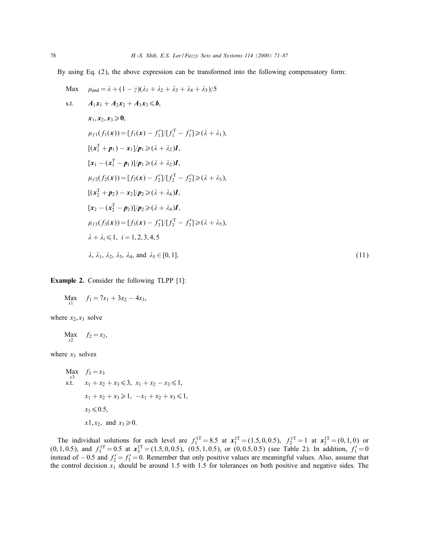By using Eq. (2), the above expression can be transformed into the following compensatory form:

Max 
$$
\mu_{and} = \lambda + (1 - \gamma)(\lambda_1 + \lambda_2 + \lambda_3 + \lambda_4 + \lambda_5)/5
$$
  
\ns.t.  $A_1x_1 + A_2x_2 + A_3x_3 \le b$ ,  
\n $x_1, x_2, x_3 \ge 0$ ,  
\n $\mu_{f1}(f_1(x)) = [f_1(x) - f'_1]/[f_1^T - f'_1] \ge (\lambda + \lambda_1),$   
\n $[(x_1^T + p_1) - x_1]/p_1 \ge (\lambda + \lambda_2)I$ ,  
\n $[x_1 - (x_1^T - p_1)]/p_1 \ge (\lambda + \lambda_2)I$ ,  
\n $\mu_{f2}(f_2(x)) = [f_2(x) - f'_2]/[f_2^T - f'_2] \ge (\lambda + \lambda_3),$   
\n $[(x_2^T + p_2) - x_2]/p_2 \ge (\lambda + \lambda_4)I$ ,  
\n $[x_2 - (x_2^T - p_2)]/p_2 \ge (\lambda + \lambda_4)I$ ,  
\n $\mu_{f3}(f_3(x)) = [f_3(x) - f'_3]/[f_3^T - f'_3] \ge (\lambda + \lambda_5),$   
\n $\lambda + \lambda_i \le 1$ ,  $i = 1, 2, 3, 4, 5$   
\n $\lambda$ ,  $\lambda_1, \lambda_2, \lambda_3, \lambda_4$ , and  $\lambda_5 \in [0, 1]$ . (11)

# Example 2. Consider the following TLPP [1]:

$$
\operatorname*{Max}_{x1} f_1 = 7x_1 + 3x_2 - 4x_3,
$$

where  $x_2, x_3$  solve

$$
\operatorname*{Max}_{x2} f_2 = x_2,
$$

where  $x_3$  solves

Max 
$$
f_3 = x_3
$$
  
\ns.t.  $x_1 + x_2 + x_3 \le 3$ ,  $x_1 + x_2 - x_3 \le 1$ ,  
\n $x_1 + x_2 + x_3 \ge 1$ ,  $-x_1 + x_2 + x_3 \le 1$ ,  
\n $x_3 \le 0.5$ ,  
\n $x_1, x_2$ , and  $x_3 \ge 0$ .

The individual solutions for each level are  $f_1^{1T} = 8.5$  at  $x_1^{1T} = (1.5, 0, 0.5), f_2^{1T} = 1$  at  $x_2^{1T} = (0, 1, 0)$  or  $(0, 1, 0.5)$ , and  $f_3^{\text{IT}} = 0.5$  at  $x_3^{\text{IT}} = (1.5, 0, 0.5)$ ,  $(0.5, 1, 0.5)$ , or  $(0, 0.5, 0.5)$  (see Table 2). In addition,  $f_1' = 0$ instead of  $-0.5$  and  $f_2' = f_3' = 0$ . Remember that only positive values are meaningful values. Also, assume that the control decision  $x_1$  should be around 1.5 with 1.5 for tolerances on both positive and negative sides. The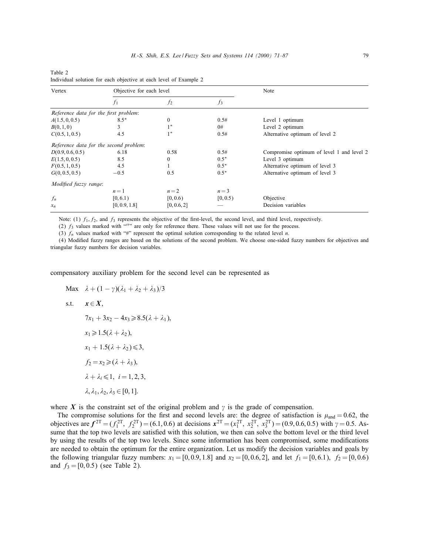| Vertex                                | Objective for each level               |                |          | Note                                      |  |
|---------------------------------------|----------------------------------------|----------------|----------|-------------------------------------------|--|
|                                       | $f_1$                                  | f <sub>2</sub> | $f_3$    |                                           |  |
| Reference data for the first problem: |                                        |                |          |                                           |  |
| A(1.5, 0, 0.5)                        | $8.5*$                                 | $\mathbf{0}$   | 0.5#     | Level 1 optimum                           |  |
| B(0,1,0)                              | 3                                      | $1*$           | 0#       | Level 2 optimum                           |  |
| C(0.5, 1, 0.5)                        | 4.5                                    | $1*$           | 0.5#     | Alternative optimum of level 2            |  |
|                                       | Reference data for the second problem: |                |          |                                           |  |
| D(0.9, 0.6, 0.5)                      | 6.18                                   | 0.58           | 0.5#     | Compromise optimum of level 1 and level 2 |  |
| E(1.5, 0, 0.5)                        | 8.5                                    | $\Omega$       | $0.5*$   | Level 3 optimum                           |  |
| F(0.5, 1, 0.5)                        | 4.5                                    |                | $0.5*$   | Alternative optimum of level 3            |  |
| G(0, 0.5, 0.5)                        | $-0.5$                                 | 0.5            | $0.5*$   | Alternative optimum of level 3            |  |
| Modified fuzzy range:                 |                                        |                |          |                                           |  |
|                                       | $n=1$                                  | $n=2$          | $n=3$    |                                           |  |
| $f_n$                                 | [0, 6.1)                               | [0, 0.6)       | [0, 0.5) | Objective                                 |  |
| $x_n$                                 | [0, 0.9, 1.8]                          | [0, 0.6, 2]    |          | Decision variables                        |  |

Table 2 Individual solution for each objective at each level of Example 2

Note: (1)  $f_1, f_2$ , and  $f_3$  represents the objective of the first-level, the second level, and third level, respectively.

(2)  $f_3$  values marked with "*l*" are only for reference there. These values will not use for the process.

(3)  $f_n$  values marked with "#" represent the optimal solution corresponding to the related level n.

(4) Modied fuzzy ranges are based on the solutions of the second problem. We choose one-sided fuzzy numbers for objectives and triangular fuzzy numbers for decision variables.

compensatory auxiliary problem for the second level can be represented as

Max  $\lambda + (1 - \gamma)(\lambda_1 + \lambda_2 + \lambda_3)/3$ s.t.  $x \in X$ .  $7x_1 + 3x_2 - 4x_3 \ge 8.5(\lambda + \lambda_1),$  $x_1 \geq 1.5(\lambda + \lambda_2),$  $x_1 + 1.5(\lambda + \lambda_2) \leqslant 3$ ,  $f_2 = x_2 \geq (\lambda + \lambda_3),$  $\lambda + \lambda_i \leqslant 1, i = 1, 2, 3,$  $\lambda$ ,  $\lambda_1$ ,  $\lambda_2$ ,  $\lambda_3$   $\in$  [0, 1].

where X is the constraint set of the original problem and  $\gamma$  is the grade of compensation.

The compromise solutions for the first and second levels are: the degree of satisfaction is  $\mu_{and} = 0.62$ , the objectives are  $f^{2T} = (f_1^{2T}, f_2^{2T}) = (6.1, 0.6)$  at decisions  $x^{2T} = (x_1^{2T}, x_2^{2T}, x_3^{2T}) = (0.9, 0.6, 0.5)$  with  $\gamma = 0.5$ . Assume that the top two levels are satisfied with this solution, we then can solve the bottom level or the third level by using the results of the top two levels. Since some information has been compromised, some modifications are needed to obtain the optimum for the entire organization. Let us modify the decision variables and goals by the following triangular fuzzy numbers:  $x_1 = [0, 0.9, 1.8]$  and  $x_2 = [0, 0.6, 2]$ , and let  $f_1 = [0, 6.1)$ ,  $f_2 = [0, 0.6]$ and  $f_3 = [0, 0.5)$  (see Table 2).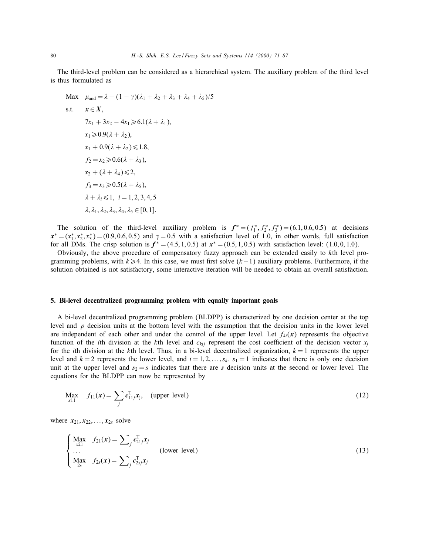The third-level problem can be considered as a hierarchical system. The auxiliary problem of the third level is thus formulated as

Max 
$$
\mu_{and} = \lambda + (1 - \gamma)(\lambda_1 + \lambda_2 + \lambda_3 + \lambda_4 + \lambda_5)/5
$$
  
\ns.t.  $\mathbf{x} \in \mathbf{X}$ ,  
\n $7x_1 + 3x_2 - 4x_1 \ge 6.1(\lambda + \lambda_1)$ ,  
\n $x_1 \ge 0.9(\lambda + \lambda_2)$ ,  
\n $x_1 + 0.9(\lambda + \lambda_2) \le 1.8$ ,  
\n $f_2 = x_2 \ge 0.6(\lambda + \lambda_3)$ ,  
\n $x_2 + (\lambda + \lambda_4) \le 2$ ,  
\n $f_3 = x_3 \ge 0.5(\lambda + \lambda_5)$ ,  
\n $\lambda + \lambda_i \le 1$ ,  $i = 1, 2, 3, 4, 5$   
\n $\lambda$ ,  $\lambda_1$ ,  $\lambda_2$ ,  $\lambda_3$ ,  $\lambda_4$ ,  $\lambda_5 \in [0, 1]$ .

The solution of the third-level auxiliary problem is  $f^* = (f_1^*, f_2^*, f_3^*) = (6.1, 0.6, 0.5)$  at decisions  $x^* = (x_1^*, x_2^*, x_3^*) = (0.9, 0.6, 0.5)$  and  $\gamma = 0.5$  with a satisfaction level of 1.0, in other words, full satisfaction for all DMs. The crisp solution is  $f^* = (4.5, 1, 0.5)$  at  $x^* = (0.5, 1, 0.5)$  with satisfaction level:  $(1.0, 0, 1.0)$ .

Obviously, the above procedure of compensatory fuzzy approach can be extended easily to kth level programming problems, with  $k \ge 4$ . In this case, we must first solve  $(k-1)$  auxiliary problems. Furthermore, if the solution obtained is not satisfactory, some interactive iteration will be needed to obtain an overall satisfaction.

# 5. Bi-level decentralized programming problem with equally important goals

A bi-level decentralized programming problem (BLDPP) is characterized by one decision center at the top level and  $p$  decision units at the bottom level with the assumption that the decision units in the lower level are independent of each other and under the control of the upper level. Let  $f_{ki}(x)$  represents the objective function of the *i*th division at the k<sup>th</sup> level and  $c_{kij}$  represent the cost coefficient of the decision vector  $x_i$ for the *i*th division at the *k*th level. Thus, in a bi-level decentralized organization,  $k = 1$  represents the upper level and  $k = 2$  represents the lower level, and  $i = 1, 2, \ldots, s_k$ .  $s_1 = 1$  indicates that there is only one decision unit at the upper level and  $s_2 = s$  indicates that there are s decision units at the second or lower level. The equations for the BLDPP can now be represented by

$$
\underset{x11}{\text{Max}} \quad f_{11}(x) = \sum_{j} c_{11j}^{\text{T}} x_j, \quad \text{(upper level)} \tag{12}
$$

where  $x_{21}, x_{22}, \ldots, x_{2s}$  solve

$$
\begin{cases}\n\max_{x\geq 1} & f_{21}(x) = \sum_{j} c_{21j}^{\mathrm{T}} x_{j} \\
\cdots & \text{(lower level)} \\
\max_{2s} & f_{2s}(x) = \sum_{j} c_{2sj}^{\mathrm{T}} x_{j}\n\end{cases}
$$
\n(13)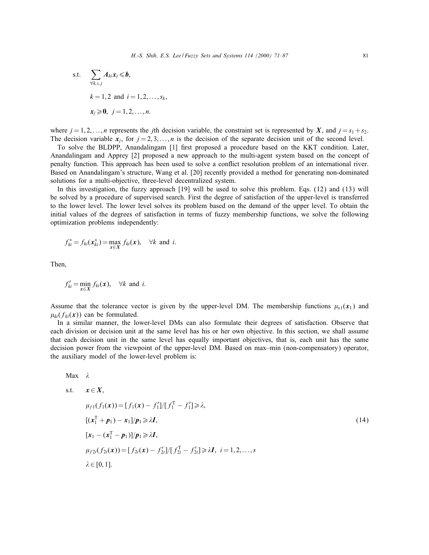s.t. 
$$
\sum_{\forall k,i,j} A_{ki} x_j \leq b,
$$
  
\n $k = 1, 2 \text{ and } i = 1, 2, ..., s_k,$   
\n $x_j \geq 0, j = 1, 2, ..., n.$ 

where  $j = 1, 2, \ldots, n$  represents the jth decision variable, the constraint set is represented by X, and  $j = s_1 + s_2$ . The decision variable  $x_i$ , for  $j = 2, 3, \ldots, n$  is the decision of the separate decision unit of the second level.

To solve the BLDPP, Anandalingam [1] first proposed a procedure based on the KKT condition. Later, Anandalingam and Apprey [2] proposed a new approach to the multi-agent system based on the concept of penalty function. This approach has been used to solve a con
ict resolution problem of an international river. Based on Anandalingam's structure, Wang et al. [20] recently provided a method for generating non-dominated solutions for a multi-objective, three-level decentralized system.

In this investigation, the fuzzy approach [19] will be used to solve this problem. Eqs. (12) and (13) will be solved by a procedure of supervised search. First the degree of satisfaction of the upper-level is transferred to the lower level. The lower level solves its problem based on the demand of the upper level. To obtain the initial values of the degrees of satisfaction in terms of fuzzy membership functions, we solve the following optimization problems independently:

$$
f_{ki}^* = f_{ki}(\mathbf{x}_{ki}^*) = \max_{\mathbf{x} \in X} f_{ki}(\mathbf{x}), \quad \forall k \text{ and } i.
$$

Then,

$$
f'_{ki} = \min_{\mathbf{x} \in X} f_{ki}(\mathbf{x}), \quad \forall k \text{ and } i.
$$

Assume that the tolerance vector is given by the upper-level DM. The membership functions  $\mu_{v1}(x_1)$  and  $\mu_{ki}(f_{ki}(\mathbf{x}))$  can be formulated.

In a similar manner, the lower-level DMs can also formulate their degrees of satisfaction. Observe that each division or decision unit at the same level has his or her own objective. In this section, we shall assume that each decision unit in the same level has equally important objectives, that is, each unit has the same decision power from the viewpoint of the upper-level DM. Based on max–min (non-compensatory) operator, the auxiliary model of the lower-level problem is:

Max λ  
\ns.t. 
$$
x \in X
$$
,  
\n $μ_{f1}(f_1(x)) = [f_1(x) - f'_1]/[f_1^T - f'_1] \ge \lambda$ ,  
\n $[(x_1^T + p_1) - x_1]/p_1 \ge \lambda I$ ,  
\n $[x_1 - (x_1^T - p_1)]/p_1 \ge \lambda I$ ,  
\n $μ_{f2i}(f_{2i}(x)) = [f_{2i}(x) - f'_{2i}]/[f_{2i}^T - f'_{2i}] \ge \lambda I$ ,  $i = 1, 2, ..., s$   
\nλ ∈ [0, 1].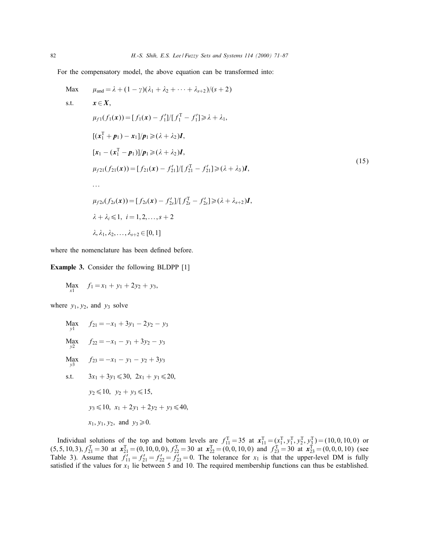For the compensatory model, the above equation can be transformed into:

Max 
$$
\mu_{and} = \lambda + (1 - \gamma)(\lambda_1 + \lambda_2 + \cdots + \lambda_{s+2})/(s+2)
$$
  
\ns.t.  $\mathbf{x} \in \mathbf{X}$ ,  
\n $\mu_{f1}(f_1(\mathbf{x})) = [f_1(\mathbf{x}) - f'_1]/[f_1^T - f'_1] \ge \lambda + \lambda_1$ ,  
\n $[(\mathbf{x}_1^T + \mathbf{p}_1) - \mathbf{x}_1]/\mathbf{p}_1 \ge (\lambda + \lambda_2) \mathbf{I}$ ,  
\n $[\mathbf{x}_1 - (\mathbf{x}_1^T - \mathbf{p}_1)]/\mathbf{p}_1 \ge (\lambda + \lambda_2) \mathbf{I}$ ,  
\n $\mu_{f21}(f_{21}(\mathbf{x})) = [f_{21}(\mathbf{x}) - f'_{21}]/[f_{21}^T - f'_{21}] \ge (\lambda + \lambda_3) \mathbf{I}$ ,  
\n...  
\n $\mu_{f2s}(f_{2s}(\mathbf{x})) = [f_{2s}(\mathbf{x}) - f'_{2s}]/[f_{2s}^T - f'_{2s}] \ge (\lambda + \lambda_{s+2}) \mathbf{I}$ ,  
\n $\lambda + \lambda_i \le 1$ ,  $i = 1, 2, ..., s + 2$   
\n $\lambda, \lambda_1, \lambda_2, ..., \lambda_{s+2} \in [0, 1]$  (15)

where the nomenclature has been defined before.

Example 3. Consider the following BLDPP [1]

$$
\underset{x1}{\text{Max}} \quad f_1 = x_1 + y_1 + 2y_2 + y_3,
$$

where  $y_1, y_2$ , and  $y_3$  solve

Max 
$$
f_{21} = -x_1 + 3y_1 - 2y_2 - y_3
$$
  
\nMax  $f_{22} = -x_1 - y_1 + 3y_2 - y_3$   
\nMax  $f_{23} = -x_1 - y_1 - y_2 + 3y_3$   
\ns.t.  $3x_1 + 3y_1 \le 30$ ,  $2x_1 + y_1 \le 20$ ,  
\n $y_2 \le 10$ ,  $y_2 + y_3 \le 15$ ,  
\n $y_3 \le 10$ ,  $x_1 + 2y_1 + 2y_2 + y_3 \le 40$ ,  
\n $x_1, y_1, y_2$ , and  $y_3 \ge 0$ .

Individual solutions of the top and bottom levels are  $f_{11}^T = 35$  at  $\mathbf{x}_{11}^T = (\mathbf{x}_1^T, \mathbf{y}_1^T, \mathbf{y}_2^T, \mathbf{y}_3^T) = (10, 0, 10, 0)$  or  $(5, 5, 10, 3), f_{21}^T = 30$  at  $x_{21}^T = (0, 10, 0, 0), f_{22}^T = 30$  at  $x_{22}^T = (0, 0, 10, 0)$  and  $f_{23}^T = 30$  at  $x_{23}^T = (0, 0, 0, 10)$  (see Table 3). Assume that  $f'_{11} = f'_{21} = f'_{22} = f'_{23} = 0$ . The tolerance for  $x_1$  is that the upper-level DM is fully satisfied if the values for  $x_1$  lie between 5 and 10. The required membership functions can thus be established.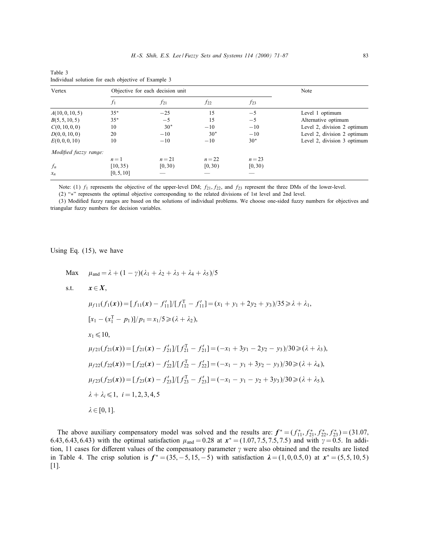| Vertex                |            | Objective for each decision unit | Note     |          |                             |
|-----------------------|------------|----------------------------------|----------|----------|-----------------------------|
|                       | $f_1$      | $f_{21}$                         | $f_{22}$ | $f_{23}$ |                             |
| A(10, 0, 10, 5)       | $35*$      | $-25$                            | 15       | $-5$     | Level 1 optimum             |
| B(5, 5, 10, 5)        | $35*$      | $-5$                             | 15       | $-5$     | Alternative optimum         |
| C(0, 10, 0, 0)        | 10         | $30*$                            | $-10$    | $-10$    | Level 2, division 2 optimum |
| D(0, 0, 10, 0)        | 20         | $-10$                            | $30*$    | $-10$    | Level 2, division 2 optimum |
| E(0, 0, 0, 10)        | 10         | $-10$                            | $-10$    | $30*$    | Level 2, division 3 optimum |
| Modified fuzzy range: |            |                                  |          |          |                             |
|                       | $n=1$      | $n = 21$                         | $n=22$   | $n = 23$ |                             |
| $f_n$                 | [10, 35)   | [0, 30)                          | [0, 30)  | [0, 30)  |                             |
| $x_n$                 | [0, 5, 10] |                                  |          |          |                             |

Table 3 Individual solution for each objective of Example 3

Note: (1)  $f_1$  represents the objective of the upper-level DM;  $f_{21}$ ,  $f_{22}$ , and  $f_{23}$  represent the three DMs of the lower-level.

(2) "∗" represents the optimal objective corresponding to the related divisions of 1st level and 2nd level.

(3) Modied fuzzy ranges are based on the solutions of individual problems. We choose one-sided fuzzy numbers for objectives and triangular fuzzy numbers for decision variables.

Using Eq. (15), we have

Max  $\mu_{\text{and}} = \lambda + (1 - \gamma)(\lambda_1 + \lambda_2 + \lambda_3 + \lambda_4 + \lambda_5)/5$ s.t.  $x \in X$ .  $\mu_{f11}(f_1(\boldsymbol{x})) = [f_{11}(\boldsymbol{x}) - f_{11}'] / [f_{11}^{\mathrm{T}} - f_{11}'] = (x_1 + y_1 + 2y_2 + y_3) / 35 \ge \lambda + \lambda_1,$  $[x_1 - (x_1^T - p_1)]/p_1 = x_1/5 \ge (\lambda + \lambda_2),$  $x_1 \leq 10$  $\mu_{f21}(f_{21}(\boldsymbol{x})) = [f_{21}(\boldsymbol{x}) - f_{21}']/[f_{21}^T - f_{21}'] = (-x_1 + 3y_1 - 2y_2 - y_3)/30 \ge (\lambda + \lambda_3),$  $\mu_{f22}(f_{22}(\boldsymbol{x})) = [f_{22}(\boldsymbol{x}) - f_{22}'] / [f_{22}^T - f_{22}'] = (-x_1 - y_1 + 3y_2 - y_3)/30 \ge (\lambda + \lambda_4),$  $\mu_{f23}(f_{23}(\boldsymbol{x})) = [f_{23}(\boldsymbol{x}) - f_{23}']/[f_{23}^T - f_{23}'] = (-x_1 - y_1 - y_2 + 3y_3)/30 \ge (\lambda + \lambda_5),$  $\lambda + \lambda_i \leq 1, i = 1, 2, 3, 4, 5$  $\lambda \in [0, 1].$ 

The above auxiliary compensatory model was solved and the results are:  $f^* = (f_{11}^*, f_{21}^*, f_{22}^*, f_{23}^*) = (31.07,$ 6.43, 6.43, 6.43) with the optimal satisfaction  $\mu_{and} = 0.28$  at  $x^* = (1.07, 7.5, 7.5, 7.5)$  and with  $\gamma = 0.5$ . In addition, 11 cases for different values of the compensatory parameter  $\gamma$  were also obtained and the results are listed in Table 4. The crisp solution is  $f^* = (35, -5, 15, -5)$  with satisfaction  $\lambda = (1, 0, 0.5, 0)$  at  $x^* = (5, 5, 10, 5)$ [1].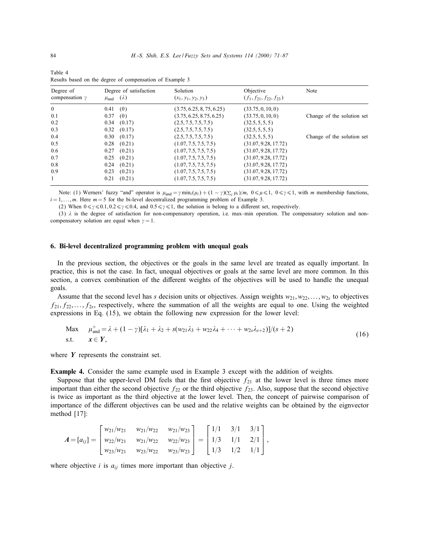| Degree of<br>compensation $\gamma$ | Degree of satisfaction<br>$\mu_{\text{and}}(\lambda)$ | Solution<br>$(x_1, y_1, y_2, y_3)$ | Objective<br>$(f_1, f_{21}, f_{22}, f_{23})$ | Note                       |
|------------------------------------|-------------------------------------------------------|------------------------------------|----------------------------------------------|----------------------------|
|                                    |                                                       |                                    |                                              |                            |
| $\theta$                           | (0)<br>0.41                                           | (3.75, 6.25, 8, 75, 6.25)          | (33.75, 0, 10, 0)                            |                            |
| 0.1                                | 0.37<br>(0)                                           | (3.75, 6.25, 8.75, 6.25)           | (33.75, 0, 10, 0)                            | Change of the solution set |
| 0.2                                | (0.17)<br>0.34                                        | (2.5, 7.5, 7.5, 7.5)               | (32.5, 5, 5, 5)                              |                            |
| 0.3                                | $0.32$ $(0.17)$                                       | (2.5, 7.5, 7.5, 7.5)               | (32.5, 5, 5, 5)                              |                            |
| 0.4                                | $0.30$ $(0.17)$                                       | (2.5, 7.5, 7.5, 7.5)               | (32.5, 5, 5, 5)                              | Change of the solution set |
| 0.5                                | (0.21)<br>0.28                                        | (1.07, 7.5, 7.5, 7.5)              | (31.07, 9.28, 17.72)                         |                            |
| 0.6                                | (0.21)<br>0.27                                        | (1.07, 7.5, 7.5, 7.5)              | (31.07, 9.28, 17.72)                         |                            |
| 0.7                                | (0.21)<br>0.25                                        | (1.07, 7.5, 7.5, 7.5)              | (31.07, 9.28, 17.72)                         |                            |
| 0.8                                | (0.21)<br>0.24                                        | (1.07, 7.5, 7.5, 7.5)              | (31.07, 9.28, 17.72)                         |                            |
| 0.9                                | (0.21)<br>0.23                                        | (1.07, 7.5, 7.5, 7.5)              | (31.07, 9.28, 17.72)                         |                            |
| $\mathbf{1}$                       | 0.21<br>(0.21)                                        | (1.07, 7.5, 7.5, 7.5)              | (31.07, 9.28, 17.72)                         |                            |

Table 4 Results based on the degree of compensation of Example 3

Note: (1) Werners' fuzzy "and" operator is  $\mu_{and} = \gamma \min_i(\mu_i) + (1 - \gamma)(\sum_i \mu_i)/m$ ,  $0 \le \mu \le 1$ ,  $0 \le \gamma \le 1$ , with m membership functions,  $i = 1, \ldots, m$ . Here  $m = 5$  for the bi-level decentralized programming problem of Example 3.

(2) When  $0 \le \gamma \le 0.1$ ,  $0.2 \le \gamma \le 0.4$ , and  $0.5 \le \gamma \le 1$ , the solution is belong to a different set, respectively.

(3)  $\lambda$  is the degree of satisfaction for non-compensatory operation, i.e. max–min operation. The compensatory solution and noncompensatory solution are equal when  $\gamma = 1$ .

#### 6. Bi-level decentralized programming problem with unequal goals

In the previous section, the objectives or the goals in the same level are treated as equally important. In practice, this is not the case. In fact, unequal objectives or goals at the same level are more common. In this section, a convex combination of the different weights of the objectives will be used to handle the unequal goals.

Assume that the second level has s decision units or objectives. Assign weights  $w_{21}, w_{22}, \ldots, w_{2s}$  to objectives  $f_{21}, f_{22},..., f_{2s}$ , respectively, where the summation of all the weights are equal to one. Using the weighted expressions in Eq. (15), we obtain the following new expression for the lower level:

Max 
$$
\mu_{\text{and}}^+ = \lambda + (1 - \gamma)[\lambda_1 + \lambda_2 + s(w_{21}\lambda_3 + w_{22}\lambda_4 + \cdots + w_{2s}\lambda_{s+2})]/(s+2)
$$
  
s.t.  $\mathbf{x} \in \mathbf{Y},$  (16)

where  $Y$  represents the constraint set.

Example 4. Consider the same example used in Example 3 except with the addition of weights.

Suppose that the upper-level DM feels that the first objective  $f_{21}$  at the lower level is three times more important than either the second objective  $f_{22}$  or the third objective  $f_{23}$ . Also, suppose that the second objective is twice as important as the third objective at the lower level. Then, the concept of pairwise comparison of importance of the different objectives can be used and the relative weights can be obtained by the eignvector method [17]:

$$
A = [a_{ij}] = \begin{bmatrix} w_{21}/w_{21} & w_{21}/w_{22} & w_{21}/w_{23} \ w_{22}/w_{21} & w_{21}/w_{22} & w_{22}/w_{23} \ w_{23}/w_{21} & w_{23}/w_{22} & w_{23}/w_{23} \end{bmatrix} = \begin{bmatrix} 1/1 & 3/1 & 3/1 \ 1/3 & 1/1 & 2/1 \ 1/3 & 1/2 & 1/1 \end{bmatrix},
$$

where objective *i* is  $a_{ij}$  times more important than objective *j*.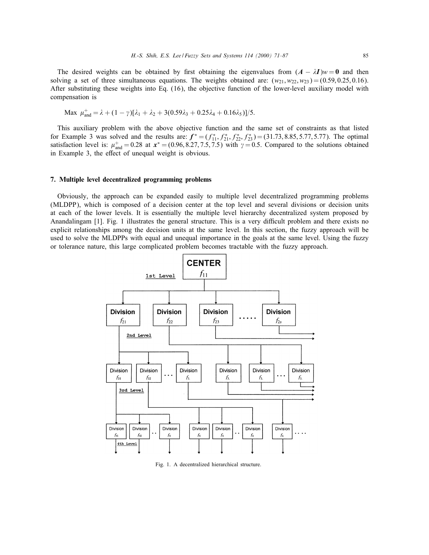The desired weights can be obtained by first obtaining the eigenvalues from  $(A - \lambda I)w = 0$  and then solving a set of three simultaneous equations. The weights obtained are:  $(w_{21}, w_{22}, w_{23}) = (0.59, 0.25, 0.16)$ . After substituting these weights into Eq. (16), the objective function of the lower-level auxiliary model with compensation is

$$
\text{Max } \mu_{\text{and}}^+ = \lambda + (1 - \gamma)[\lambda_1 + \lambda_2 + 3(0.59\lambda_3 + 0.25\lambda_4 + 0.16\lambda_5)]/5.
$$

This auxiliary problem with the above objective function and the same set of constraints as that listed for Example 3 was solved and the results are:  $f^* = (f_{11}^*, f_{21}^*, f_{22}^*, f_{23}^*) = (31.73, 8.85, 5.77, 5.77)$ . The optimal satisfaction level is:  $\mu_{and}^+ = 0.28$  at  $x^* = (0.96, 8.27, 7.5, 7.5)$  with  $\gamma = 0.5$ . Compared to the solutions obtained in Example 3, the effect of unequal weight is obvious.

#### 7. Multiple level decentralized programming problems

Obviously, the approach can be expanded easily to multiple level decentralized programming problems (MLDPP), which is composed of a decision center at the top level and several divisions or decision units at each of the lower levels. It is essentially the multiple level hierarchy decentralized system proposed by Anandalingam [1]. Fig. 1 illustrates the general structure. This is a very difficult problem and there exists no explicit relationships among the decision units at the same level. In this section, the fuzzy approach will be used to solve the MLDPPs with equal and unequal importance in the goals at the same level. Using the fuzzy or tolerance nature, this large complicated problem becomes tractable with the fuzzy approach.



Fig. 1. A decentralized hierarchical structure.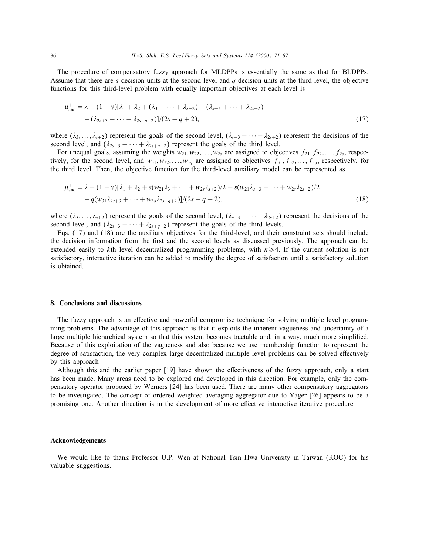The procedure of compensatory fuzzy approach for MLDPPs is essentially the same as that for BLDPPs. Assume that there are s decision units at the second level and q decision units at the third level, the objective functions for this third-level problem with equally important objectives at each level is

$$
\mu_{\text{and}}^{+} = \lambda + (1 - \gamma)[\lambda_{1} + \lambda_{2} + (\lambda_{3} + \dots + \lambda_{s+2}) + (\lambda_{s+3} + \dots + \lambda_{2s+2})
$$
  
+ 
$$
(\lambda_{2s+3} + \dots + \lambda_{2s+q+2})]/(2s+q+2),
$$
 (17)

where  $(\lambda_3,\ldots,\lambda_{s+2})$  represent the goals of the second level,  $(\lambda_{s+3} + \cdots + \lambda_{2s+2})$  represent the decisions of the second level, and  $(\lambda_{2s+3} + \cdots + \lambda_{2s+a+2})$  represent the goals of the third level.

For unequal goals, assuming the weights  $w_{21}, w_{22}, \ldots, w_{2s}$  are assigned to objectives  $f_{21}, f_{22}, \ldots, f_{2s}$ , respectively, for the second level, and  $w_{31}, w_{32},...,w_{3q}$  are assigned to objectives  $f_{31}, f_{32},...,f_{3q}$ , respectively, for the third level. Then, the objective function for the third-level auxiliary model can be represented as

$$
\mu_{\text{and}}^{+} = \lambda + (1 - \gamma)[\lambda_{1} + \lambda_{2} + s(w_{21}\lambda_{3} + \dots + w_{2s}\lambda_{s+2})/2 + s(w_{21}\lambda_{s+3} + \dots + w_{2s}\lambda_{2s+2})/2 \n+ q(w_{31}\lambda_{2s+3} + \dots + w_{3q}\lambda_{2s+q+2})]/(2s+q+2),
$$
\n(18)

where  $(\lambda_3,\ldots,\lambda_{s+2})$  represent the goals of the second level,  $(\lambda_{s+3} + \cdots + \lambda_{2s+2})$  represent the decisions of the second level, and  $(\lambda_{2s+3} + \cdots + \lambda_{2s+q+2})$  represent the goals of the third levels.

Eqs. (17) and (18) are the auxiliary objectives for the third-level, and their constraint sets should include the decision information from the first and the second levels as discussed previously. The approach can be extended easily to kth level decentralized programming problems, with  $k \geq 4$ . If the current solution is not satisfactory, interactive iteration can be added to modify the degree of satisfaction until a satisfactory solution is obtained.

#### 8. Conclusions and discussions

The fuzzy approach is an effective and powerful compromise technique for solving multiple level programming problems. The advantage of this approach is that it exploits the inherent vagueness and uncertainty of a large multiple hierarchical system so that this system becomes tractable and, in a way, much more simplied. Because of this exploitation of the vagueness and also because we use membership function to represent the degree of satisfaction, the very complex large decentralized multiple level problems can be solved effectively by this approach

Although this and the earlier paper  $[19]$  have shown the effectiveness of the fuzzy approach, only a start has been made. Many areas need to be explored and developed in this direction. For example, only the compensatory operator proposed by Werners [24] has been used. There are many other compensatory aggregators to be investigated. The concept of ordered weighted averaging aggregator due to Yager [26] appears to be a promising one. Another direction is in the development of more effective interactive iterative procedure.

## Acknowledgements

We would like to thank Professor U.P. Wen at National Tsin Hwa University in Taiwan (ROC) for his valuable suggestions.